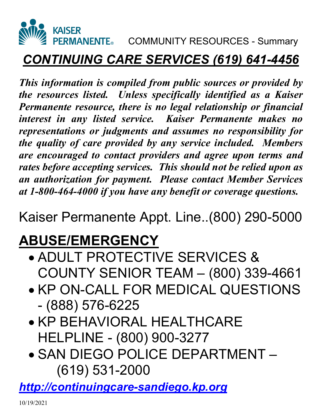

#### *CONTINUING CARE SERVICES (619) 641-4456*

*This information is compiled from public sources or provided by the resources listed. Unless specifically identified as a Kaiser Permanente resource, there is no legal relationship or financial interest in any listed service. Kaiser Permanente makes no representations or judgments and assumes no responsibility for the quality of care provided by any service included. Members are encouraged to contact providers and agree upon terms and rates before accepting services. This should not be relied upon as an authorization for payment. Please contact Member Services at 1-800-464-4000 if you have any benefit or coverage questions.* 

Kaiser Permanente Appt. Line..(800) 290-5000

#### **ABUSE/EMERGENCY**

- ADULT PROTECTIVE SERVICES & COUNTY SENIOR TEAM – (800) 339-4661
- **KP ON-CALL FOR MEDICAL QUESTIONS** - (888) 576-6225
- **KP BEHAVIORAL HEALTHCARE** HELPLINE - (800) 900-3277
- SAN DIEGO POLICE DEPARTMENT (619) 531-2000

*[http://continuingcare-sandiego.kp.org](http://continuingcare-sandiego.kp.org/)*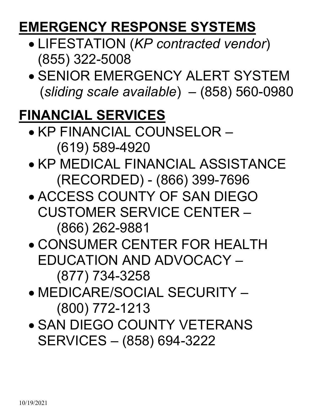#### **EMERGENCY RESPONSE SYSTEMS**

- LIFESTATION (*KP contracted vendor*) (855) 322-5008
- SENIOR EMERGENCY ALERT SYSTEM (*sliding scale available*) – (858) 560-0980

#### **FINANCIAL SERVICES**

- KP FINANCIAL COUNSELOR (619) 589-4920
- KP MEDICAL FINANCIAL ASSISTANCE (RECORDED) - (866) 399-7696
- ACCESS COUNTY OF SAN DIEGO CUSTOMER SERVICE CENTER – (866) 262-9881
- CONSUMER CENTER FOR HEALTH EDUCATION AND ADVOCACY – (877) 734-3258
- MEDICARE/SOCIAL SECURITY (800) 772-1213
- **SAN DIEGO COUNTY VETERANS** SERVICES – (858) 694-3222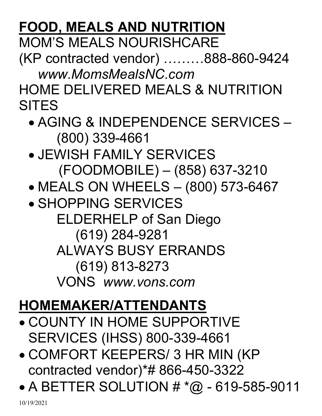# **FOOD, MEALS AND NUTRITION**

MOM'S MEALS NOURISHCARE

(KP contracted vendor) ………888-860-9424 *[www.MomsMealsNC.com](http://www.momsmealsnc.com/)*

HOME DELIVERED MEALS & NUTRITION **SITES** 

- AGING & INDEPENDENCE SERVICES (800) 339-4661
- JEWISH FAMILY SERVICES (FOODMOBILE) – (858) 637-3210
- MEALS ON WHEELS (800) 573-6467
- **SHOPPING SERVICES**  ELDERHELP of San Diego (619) 284-9281 ALWAYS BUSY ERRANDS (619) 813-8273 VONS *[www.vons.com](http://www.vons.com/)*

## **HOMEMAKER/ATTENDANTS**

- COUNTY IN HOME SUPPORTIVE SERVICES (IHSS) 800-339-4661
- COMFORT KEEPERS/ 3 HR MIN (KP contracted vendor)\*# 866-450-3322
- A BETTER SOLUTION  $# * @ 619 585 9011$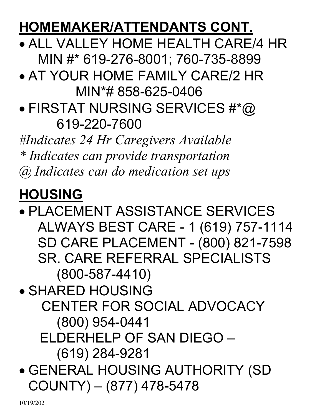#### **HOMEMAKER/ATTENDANTS CONT.**

 ALL VALLEY HOME HEALTH CARE/4 HR MIN #\* 619-276-8001; 760-735-8899

- AT YOUR HOME FAMILY CARE/2 HR MIN\*# 858-625-0406
- FIRSTAT NURSING SERVICES #\*@ 619-220-7600

*#Indicates 24 Hr Caregivers Available \* Indicates can provide transportation @ Indicates can do medication set ups*

## **HOUSING**

 PLACEMENT ASSISTANCE SERVICES ALWAYS BEST CARE - 1 (619) 757-1114 SD CARE PLACEMENT - (800) 821-7598 SR. CARE REFERRAL SPECIALISTS (800-587-4410) SHARED HOUSING CENTER FOR SOCIAL ADVOCACY (800) 954-0441 ELDERHELP OF SAN DIEGO – (619) 284-9281 GENERAL HOUSING AUTHORITY (SD COUNTY) – (877) 478-5478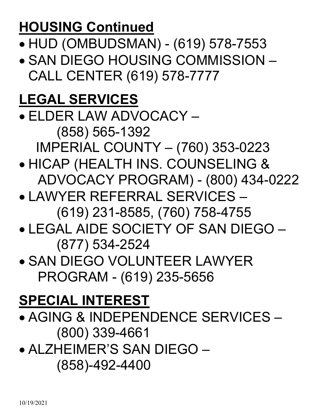## **HOUSING Continued**

- HUD (OMBUDSMAN) (619) 578-7553
- SAN DIEGO HOUSING COMMISSION CALL CENTER (619) 578-7777

#### **LEGAL SERVICES**

- ELDER LAW ADVOCACY (858) 565-1392 IMPERIAL COUNTY – (760) 353-0223
- HICAP (HEALTH INS. COUNSELING & ADVOCACY PROGRAM) - (800) 434-0222
- LAWYER REFERRAL SERVICES (619) 231-8585, (760) 758-4755
- LEGAL AIDE SOCIETY OF SAN DIEGO (877) 534-2524
- SAN DIEGO VOLUNTEER LAWYER PROGRAM - (619) 235-5656

#### **SPECIAL INTEREST**

- AGING & INDEPENDENCE SERVICES (800) 339-4661
- ALZHEIMER'S SAN DIEGO (858)-492-4400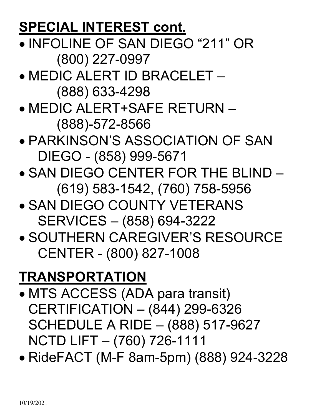#### **SPECIAL INTEREST cont.**

- INFOLINE OF SAN DIEGO "211" OR (800) 227-0997
- MEDIC ALERT ID BRACELET (888) 633-4298
- MEDIC ALERT+SAFE RETURN (888)-572-8566
- PARKINSON'S ASSOCIATION OF SAN DIEGO - (858) 999-5671
- SAN DIEGO CENTER FOR THE BLIND (619) 583-1542, (760) 758-5956
- **. SAN DIEGO COUNTY VETERANS** SERVICES – (858) 694-3222
- SOUTHERN CAREGIVER'S RESOURCE CENTER - (800) 827-1008

## **TRANSPORTATION**

- MTS ACCESS (ADA para transit) CERTIFICATION – (844) 299-6326 SCHEDULE A RIDE – (888) 517-9627 NCTD LIFT – (760) 726-1111
- RideFACT (M-F 8am-5pm) (888) 924-3228